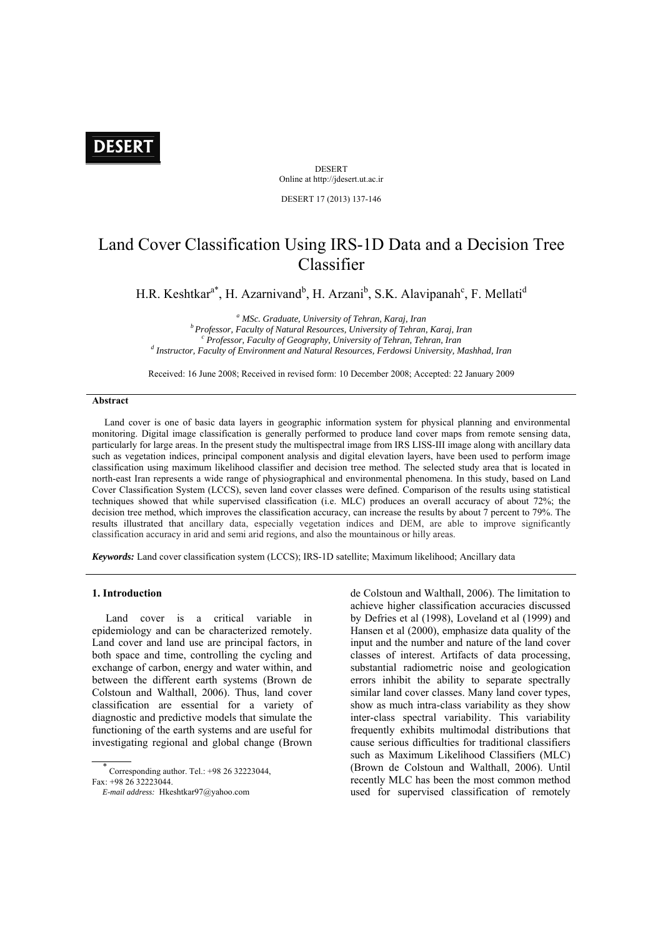# **DESERT**

**DESERT** Online at http://jdesert.ut.ac.ir

DESERT 17 (2013) 137-146

## Land Cover Classification Using IRS-1D Data and a Decision Tree Classifier

H.R. Keshtkar<sup>a\*</sup>, H. Azarnivand<sup>b</sup>, H. Arzani<sup>b</sup>, S.K. Alavipanah<sup>c</sup>, F. Mellati<sup>d</sup>

<sup>a</sup> MSc. Graduate, University of Tehran, Karaj, Iran <sup>*b*</sup> Professor, Faculty of Natural Resources, University of Tehran, Karaj, Iran *Professor, Faculty of Geography, University of Tehran, Tehran, Iran Instructor, Faculty of Environment and Natural Resources, Ferdowsi University, Mashhad, Iran* 

Received: 16 June 2008; Received in revised form: 10 December 2008; Accepted: 22 January 2009

## **Abstract**

 Land cover is one of basic data layers in geographic information system for physical planning and environmental monitoring. Digital image classification is generally performed to produce land cover maps from remote sensing data, particularly for large areas. In the present study the multispectral image from IRS LISS-III image along with ancillary data such as vegetation indices, principal component analysis and digital elevation layers, have been used to perform image classification using maximum likelihood classifier and decision tree method. The selected study area that is located in north-east Iran represents a wide range of physiographical and environmental phenomena. In this study, based on Land Cover Classification System (LCCS), seven land cover classes were defined. Comparison of the results using statistical techniques showed that while supervised classification (i.e. MLC) produces an overall accuracy of about 72%; the decision tree method, which improves the classification accuracy, can increase the results by about 7 percent to 79%. The results illustrated that ancillary data, especially vegetation indices and DEM, are able to improve significantly classification accuracy in arid and semi arid regions, and also the mountainous or hilly areas.

*Keywords:* Land cover classification system (LCCS); IRS-1D satellite; Maximum likelihood; Ancillary data

## **1. Introduction**

 Land cover is a critical variable in epidemiology and can be characterized remotely. Land cover and land use are principal factors, in both space and time, controlling the cycling and exchange of carbon, energy and water within, and between the different earth systems (Brown de Colstoun and Walthall, 2006). Thus, land cover classification are essential for a variety of diagnostic and predictive models that simulate the functioning of the earth systems and are useful for investigating regional and global change (Brown

 $\ddot{x}$  Corresponding author. Tel.: +98 26 32223044, Fax: +98 26 32223044.

de Colstoun and Walthall, 2006). The limitation to achieve higher classification accuracies discussed by Defries et al (1998), Loveland et al (1999) and Hansen et al (2000), emphasize data quality of the input and the number and nature of the land cover classes of interest. Artifacts of data processing, substantial radiometric noise and geologication errors inhibit the ability to separate spectrally similar land cover classes. Many land cover types, show as much intra-class variability as they show inter-class spectral variability. This variability frequently exhibits multimodal distributions that cause serious difficulties for traditional classifiers such as Maximum Likelihood Classifiers (MLC) (Brown de Colstoun and Walthall, 2006). Until recently MLC has been the most common method used for supervised classification of remotely

*E-mail address:* Hkeshtkar97@yahoo.com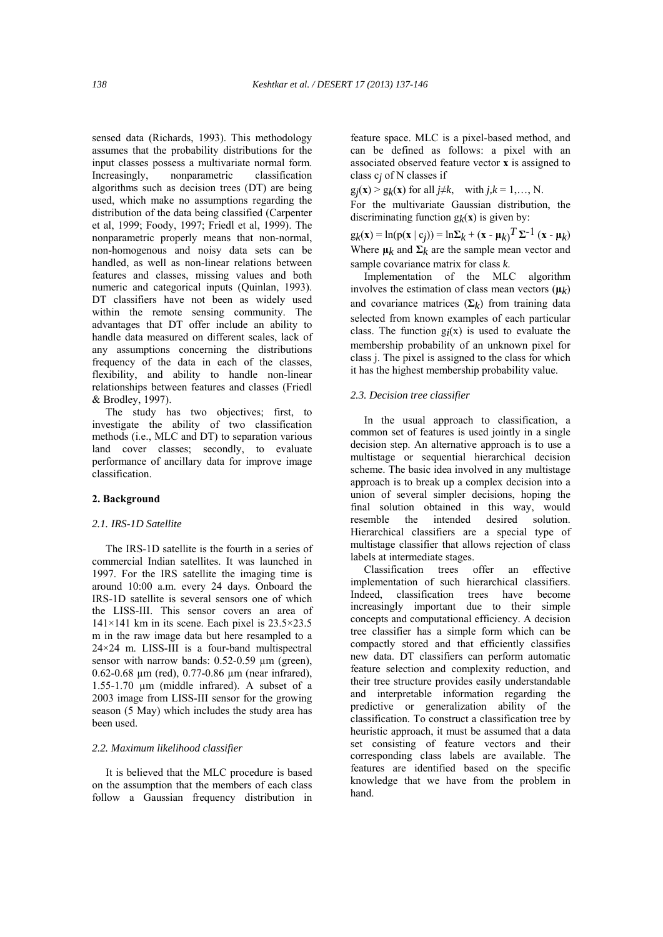sensed data (Richards, 1993). This methodology assumes that the probability distributions for the input classes possess a multivariate normal form. Increasingly, nonparametric classification algorithms such as decision trees (DT) are being used, which make no assumptions regarding the distribution of the data being classified (Carpenter et al, 1999; Foody, 1997; Friedl et al, 1999). The nonparametric properly means that non-normal, non-homogenous and noisy data sets can be handled, as well as non-linear relations between features and classes, missing values and both numeric and categorical inputs (Quinlan, 1993). DT classifiers have not been as widely used within the remote sensing community. The advantages that DT offer include an ability to handle data measured on different scales, lack of any assumptions concerning the distributions frequency of the data in each of the classes, flexibility, and ability to handle non-linear relationships between features and classes (Friedl & Brodley, 1997).

 The study has two objectives; first, to investigate the ability of two classification methods (i.e., MLC and DT) to separation various land cover classes; secondly, to evaluate performance of ancillary data for improve image classification.

#### **2. Background**

#### *2.1. IRS-1D Satellite*

 The IRS-1D satellite is the fourth in a series of commercial Indian satellites. It was launched in 1997. For the IRS satellite the imaging time is around 10:00 a.m. every 24 days. Onboard the IRS-1D satellite is several sensors one of which the LISS-III. This sensor covers an area of 141×141 km in its scene. Each pixel is 23.5×23.5 m in the raw image data but here resampled to a 24×24 m. LISS-III is a four-band multispectral sensor with narrow bands: 0.52-0.59  $\mu$ m (green), 0.62-0.68 µm (red), 0.77-0.86 µm (near infrared), 1.55-1.70 µm (middle infrared). A subset of a 2003 image from LISS-III sensor for the growing season (5 May) which includes the study area has been used.

#### *2.2. Maximum likelihood classifier*

 It is believed that the MLC procedure is based on the assumption that the members of each class follow a Gaussian frequency distribution in feature space. MLC is a pixel-based method, and can be defined as follows: a pixel with an associated observed feature vector **x** is assigned to class c*j* of N classes if

 $g_j(x) > g_k(x)$  for all  $j \neq k$ , with  $j, k = 1, \ldots, N$ .

For the multivariate Gaussian distribution, the discriminating function  $g_k(x)$  is given by:

 $g_k(x) = ln(p(x | c_j)) = ln Σ_k + (x - μ_k)^T Σ^{-1} (x - μ_k)$ Where  $\mu_k$  and  $\Sigma_k$  are the sample mean vector and sample covariance matrix for class *k*.

 Implementation of the MLC algorithm involves the estimation of class mean vectors  $(\mu_k)$ and covariance matrices  $(\Sigma_k)$  from training data selected from known examples of each particular class. The function  $g_i(x)$  is used to evaluate the membership probability of an unknown pixel for class j. The pixel is assigned to the class for which it has the highest membership probability value.

## *2.3. Decision tree classifier*

 In the usual approach to classification, a common set of features is used jointly in a single decision step. An alternative approach is to use a multistage or sequential hierarchical decision scheme. The basic idea involved in any multistage approach is to break up a complex decision into a union of several simpler decisions, hoping the final solution obtained in this way, would resemble the intended desired solution. Hierarchical classifiers are a special type of multistage classifier that allows rejection of class labels at intermediate stages.

 Classification trees offer an effective implementation of such hierarchical classifiers. Indeed, classification trees have become increasingly important due to their simple concepts and computational efficiency. A decision tree classifier has a simple form which can be compactly stored and that efficiently classifies new data. DT classifiers can perform automatic feature selection and complexity reduction, and their tree structure provides easily understandable and interpretable information regarding the predictive or generalization ability of the classification. To construct a classification tree by heuristic approach, it must be assumed that a data set consisting of feature vectors and their corresponding class labels are available. The features are identified based on the specific knowledge that we have from the problem in hand.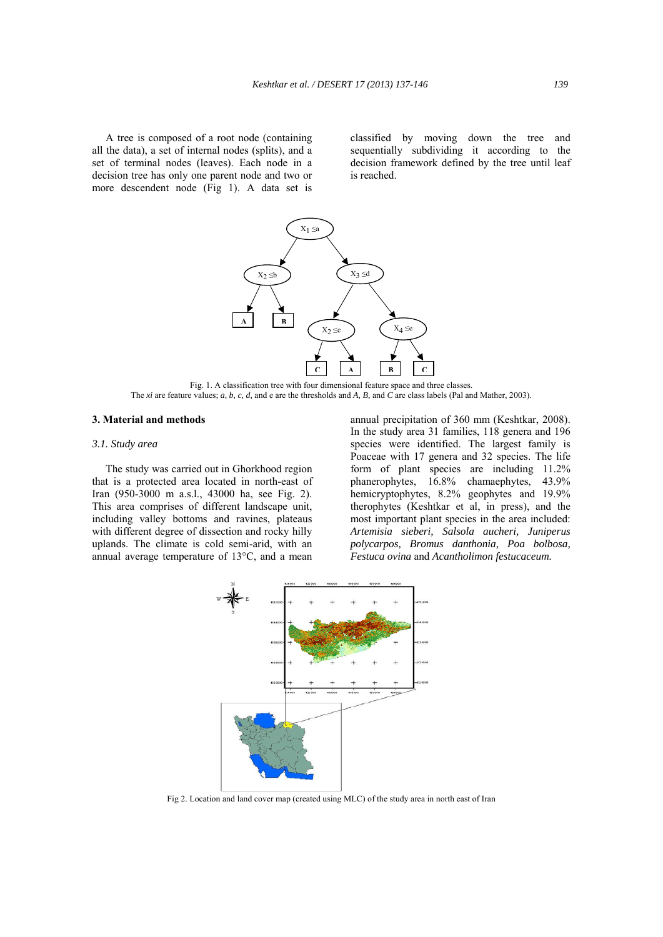A tree is composed of a root node (containing all the data), a set of internal nodes (splits), and a set of terminal nodes (leaves). Each node in a decision tree has only one parent node and two or more descendent node (Fig 1). A data set is

classified by moving down the tree and sequentially subdividing it according to the decision framework defined by the tree until leaf is reached.



Fig. 1. A classification tree with four dimensional feature space and three classes. The *xi* are feature values; *a, b, c, d,* and e are the thresholds and *A, B,* and *C* are class labels (Pal and Mather, 2003).

## **3. Material and methods**

## *3.1. Study area*

 The study was carried out in Ghorkhood region that is a protected area located in north-east of Iran (950-3000 m a.s.l., 43000 ha, see Fig. 2). This area comprises of different landscape unit, including valley bottoms and ravines, plateaus with different degree of dissection and rocky hilly uplands. The climate is cold semi-arid, with an annual average temperature of 13°C, and a mean

annual precipitation of 360 mm (Keshtkar, 2008). In the study area 31 families, 118 genera and 196 species were identified. The largest family is Poaceae with 17 genera and 32 species. The life form of plant species are including 11.2% phanerophytes, 16.8% chamaephytes, 43.9% hemicryptophytes, 8.2% geophytes and 19.9% therophytes (Keshtkar et al, in press), and the most important plant species in the area included: *Artemisia sieberi, Salsola aucheri, Juniperus polycarpos, Bromus danthonia, Poa bolbosa, Festuca ovina* and *Acantholimon festucaceum.* 



Fig 2. Location and land cover map (created using MLC) of the study area in north east of Iran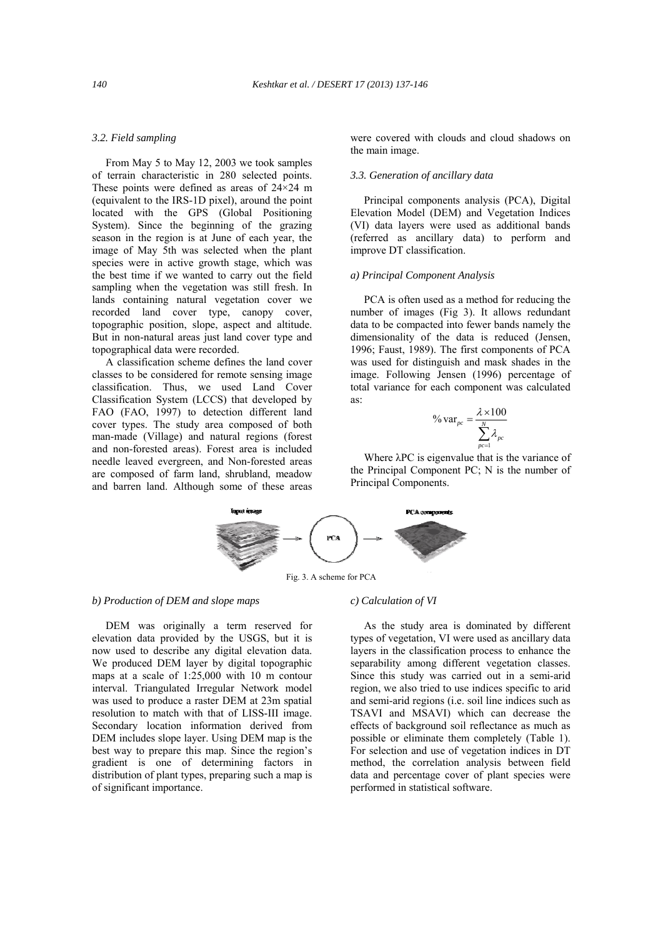## *3.2. Field sampling*

 From May 5 to May 12, 2003 we took samples of terrain characteristic in 280 selected points. These points were defined as areas of  $24\times24$  m (equivalent to the IRS-1D pixel), around the point located with the GPS (Global Positioning System). Since the beginning of the grazing season in the region is at June of each year, the image of May 5th was selected when the plant species were in active growth stage, which was the best time if we wanted to carry out the field sampling when the vegetation was still fresh. In lands containing natural vegetation cover we recorded land cover type, canopy cover, topographic position, slope, aspect and altitude. But in non-natural areas just land cover type and topographical data were recorded.

 A classification scheme defines the land cover classes to be considered for remote sensing image classification. Thus, we used Land Cover Classification System (LCCS) that developed by FAO (FAO, 1997) to detection different land cover types. The study area composed of both man-made (Village) and natural regions (forest and non-forested areas). Forest area is included needle leaved evergreen, and Non-forested areas are composed of farm land, shrubland, meadow and barren land. Although some of these areas were covered with clouds and cloud shadows on the main image.

## *3.3. Generation of ancillary data*

 Principal components analysis (PCA), Digital Elevation Model (DEM) and Vegetation Indices (VI) data layers were used as additional bands (referred as ancillary data) to perform and improve DT classification.

## *a) Principal Component Analysis*

 PCA is often used as a method for reducing the number of images (Fig 3). It allows redundant data to be compacted into fewer bands namely the dimensionality of the data is reduced (Jensen, 1996; Faust, 1989). The first components of PCA was used for distinguish and mask shades in the image. Following Jensen (1996) percentage of total variance for each component was calculated as:

$$
\% \, \text{var}_{pc} = \frac{\lambda \times 100}{\sum_{p \in \mathbb{N}}^{N} \lambda_{pc}}
$$

 Where λPC is eigenvalue that is the variance of the Principal Component PC; N is the number of Principal Components.



### *b) Production of DEM and slope maps*

 DEM was originally a term reserved for elevation data provided by the USGS, but it is now used to describe any digital elevation data. We produced DEM layer by digital topographic maps at a scale of 1:25,000 with 10 m contour interval. Triangulated Irregular Network model was used to produce a raster DEM at 23m spatial resolution to match with that of LISS-III image. Secondary location information derived from DEM includes slope layer. Using DEM map is the best way to prepare this map. Since the region's gradient is one of determining factors in distribution of plant types, preparing such a map is of significant importance.

#### *c) Calculation of VI*

 As the study area is dominated by different types of vegetation, VI were used as ancillary data layers in the classification process to enhance the separability among different vegetation classes. Since this study was carried out in a semi-arid region, we also tried to use indices specific to arid and semi-arid regions (i.e. soil line indices such as TSAVI and MSAVI) which can decrease the effects of background soil reflectance as much as possible or eliminate them completely (Table 1). For selection and use of vegetation indices in DT method, the correlation analysis between field data and percentage cover of plant species were performed in statistical software.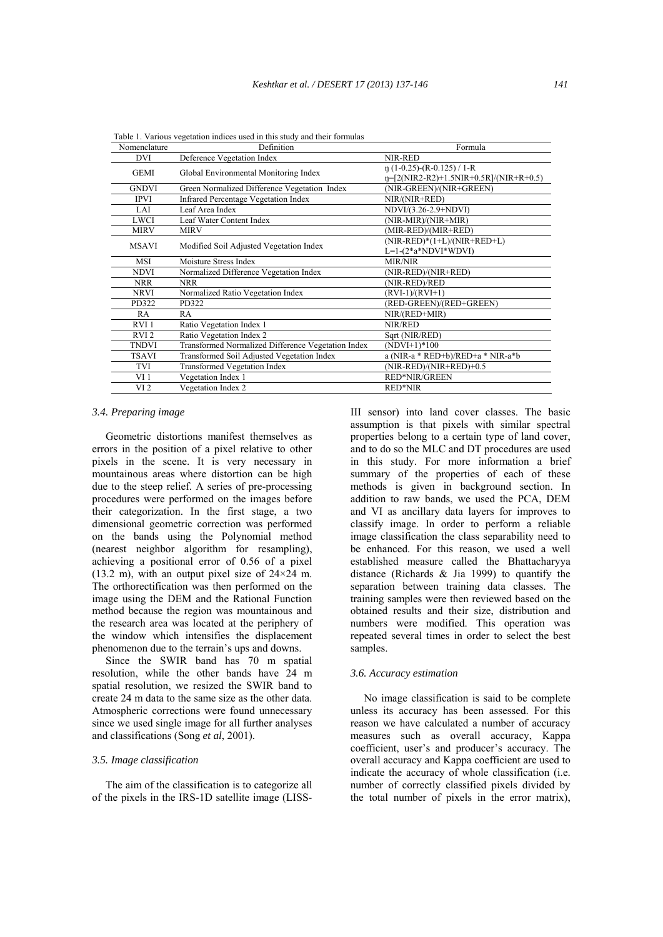| Definition                                         | Formula                                                                                                                          |  |  |  |
|----------------------------------------------------|----------------------------------------------------------------------------------------------------------------------------------|--|--|--|
| Deference Vegetation Index                         | NIR-RED                                                                                                                          |  |  |  |
|                                                    | $\eta$ (1-0.25)-(R-0.125) / 1-R                                                                                                  |  |  |  |
|                                                    | $n=[2(NIR2-R2)+1.5NIR+0.5R]/(NIR+R+0.5)$                                                                                         |  |  |  |
|                                                    | (NIR-GREEN)/(NIR+GREEN)                                                                                                          |  |  |  |
| <b>Infrared Percentage Vegetation Index</b>        | $NIR/(NIR+RED)$                                                                                                                  |  |  |  |
| Leaf Area Index                                    | NDVI/(3.26-2.9+NDVI)                                                                                                             |  |  |  |
| Leaf Water Content Index                           | (NIR-MIR)/(NIR+MIR)                                                                                                              |  |  |  |
| <b>MIRV</b>                                        | (MIR-RED)/(MIR+RED)                                                                                                              |  |  |  |
|                                                    | $(NIR-RED)*(1+L)/(NIR+RED+L)$                                                                                                    |  |  |  |
|                                                    | $L=1-(2*a*NDVI*WDVI)$                                                                                                            |  |  |  |
| Moisture Stress Index                              | <b>MIR/NIR</b>                                                                                                                   |  |  |  |
| Normalized Difference Vegetation Index             | (NIR-RED)/(NIR+RED)                                                                                                              |  |  |  |
| <b>NRR</b>                                         | (NIR-RED)/RED                                                                                                                    |  |  |  |
| Normalized Ratio Vegetation Index                  | $(RVI-1)/(RVI+1)$                                                                                                                |  |  |  |
| PD322                                              | (RED-GREEN)/(RED+GREEN)                                                                                                          |  |  |  |
| RA                                                 | $NIR/(RED+MIR)$                                                                                                                  |  |  |  |
| Ratio Vegetation Index 1                           | NIR/RED                                                                                                                          |  |  |  |
| Ratio Vegetation Index 2                           | Sqrt (NIR/RED)                                                                                                                   |  |  |  |
| Transformed Normalized Difference Vegetation Index | $(NDVI+1)*100$                                                                                                                   |  |  |  |
| Transformed Soil Adjusted Vegetation Index         | a (NIR-a $*$ RED+b)/RED+a $*$ NIR-a $*$ b                                                                                        |  |  |  |
| <b>Transformed Vegetation Index</b>                | (NIR-RED)/(NIR+RED)+0.5                                                                                                          |  |  |  |
| Vegetation Index 1                                 | <b>RED*NIR/GREEN</b>                                                                                                             |  |  |  |
| Vegetation Index 2                                 | RED*NIR                                                                                                                          |  |  |  |
|                                                    | Global Environmental Monitoring Index<br>Green Normalized Difference Vegetation Index<br>Modified Soil Adjusted Vegetation Index |  |  |  |

Table 1. Various vegetation indices used in this study and their formulas

#### *3.4. Preparing image*

 Geometric distortions manifest themselves as errors in the position of a pixel relative to other pixels in the scene. It is very necessary in mountainous areas where distortion can be high due to the steep relief. A series of pre-processing procedures were performed on the images before their categorization. In the first stage, a two dimensional geometric correction was performed on the bands using the Polynomial method (nearest neighbor algorithm for resampling), achieving a positional error of 0.56 of a pixel  $(13.2 \text{ m})$ , with an output pixel size of  $24 \times 24 \text{ m}$ . The orthorectification was then performed on the image using the DEM and the Rational Function method because the region was mountainous and the research area was located at the periphery of the window which intensifies the displacement phenomenon due to the terrain's ups and downs.

 Since the SWIR band has 70 m spatial resolution, while the other bands have 24 m spatial resolution, we resized the SWIR band to create 24 m data to the same size as the other data. Atmospheric corrections were found unnecessary since we used single image for all further analyses and classifications (Song *et al*, 2001).

#### *3.5. Image classification*

 The aim of the classification is to categorize all of the pixels in the IRS-1D satellite image (LISS-

III sensor) into land cover classes. The basic assumption is that pixels with similar spectral properties belong to a certain type of land cover, and to do so the MLC and DT procedures are used in this study. For more information a brief summary of the properties of each of these methods is given in background section. In addition to raw bands, we used the PCA, DEM and VI as ancillary data layers for improves to classify image. In order to perform a reliable image classification the class separability need to be enhanced. For this reason, we used a well established measure called the Bhattacharyya distance (Richards & Jia 1999) to quantify the separation between training data classes. The training samples were then reviewed based on the obtained results and their size, distribution and numbers were modified. This operation was repeated several times in order to select the best samples.

#### *3.6. Accuracy estimation*

 No image classification is said to be complete unless its accuracy has been assessed. For this reason we have calculated a number of accuracy measures such as overall accuracy, Kappa coefficient, user's and producer's accuracy. The overall accuracy and Kappa coefficient are used to indicate the accuracy of whole classification (i.e. number of correctly classified pixels divided by the total number of pixels in the error matrix),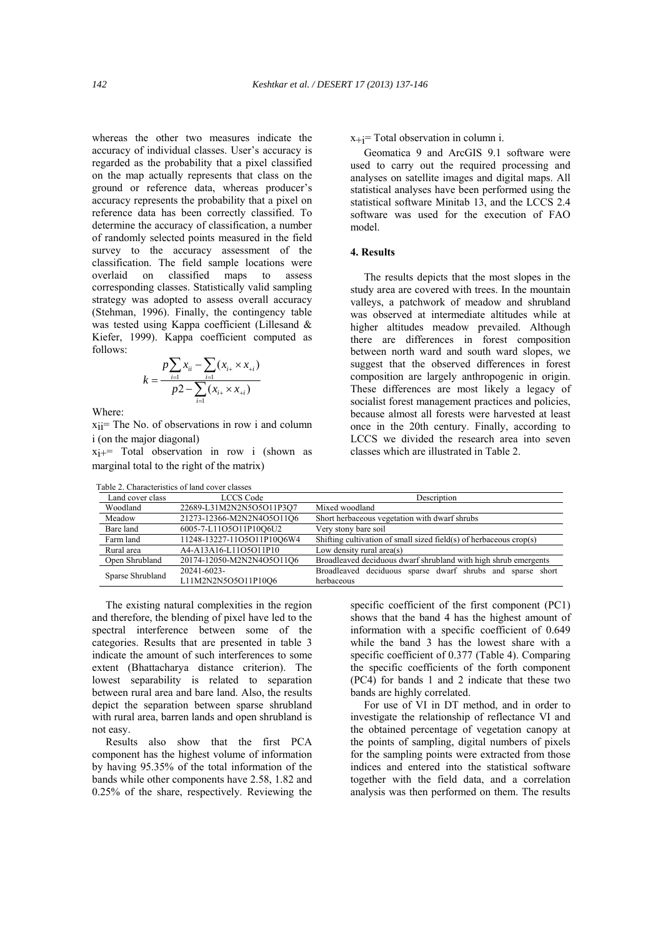whereas the other two measures indicate the accuracy of individual classes. User's accuracy is regarded as the probability that a pixel classified on the map actually represents that class on the ground or reference data, whereas producer's accuracy represents the probability that a pixel on reference data has been correctly classified. To determine the accuracy of classification, a number of randomly selected points measured in the field survey to the accuracy assessment of the classification. The field sample locations were overlaid on classified maps to assess corresponding classes. Statistically valid sampling strategy was adopted to assess overall accuracy (Stehman, 1996). Finally, the contingency table was tested using Kappa coefficient (Lillesand & Kiefer, 1999). Kappa coefficient computed as follows:

$$
k = \frac{p\sum_{i=1}^{n} x_{ii} - \sum_{i=1}^{n} (x_{i+} \times x_{+i})}{p\sqrt{2} - \sum_{i=1}^{n} (x_{i+} \times x_{+i})}
$$

Where:

xii= The No. of observations in row i and column i (on the major diagonal)

 $x_{i+}$  Total observation in row i (shown as marginal total to the right of the matrix)

Table 2. Characteristics of land cover classes

 $x+j$ = Total observation in column i.

 Geomatica 9 and ArcGIS 9.1 software were used to carry out the required processing and analyses on satellite images and digital maps. All statistical analyses have been performed using the statistical software Minitab 13, and the LCCS 2.4 software was used for the execution of FAO model.

#### **4. Results**

 The results depicts that the most slopes in the study area are covered with trees. In the mountain valleys, a patchwork of meadow and shrubland was observed at intermediate altitudes while at higher altitudes meadow prevailed. Although there are differences in forest composition between north ward and south ward slopes, we suggest that the observed differences in forest composition are largely anthropogenic in origin. These differences are most likely a legacy of socialist forest management practices and policies, because almost all forests were harvested at least once in the 20th century. Finally, according to LCCS we divided the research area into seven classes which are illustrated in Table 2.

|                  | avit 2. Characterístics of failu cover classes |                                                                             |  |  |  |  |
|------------------|------------------------------------------------|-----------------------------------------------------------------------------|--|--|--|--|
| Land cover class | <b>LCCS</b> Code                               | Description                                                                 |  |  |  |  |
| Woodland         | 22689-L31M2N2N5O5O11P3O7                       | Mixed woodland                                                              |  |  |  |  |
| Meadow           | 21273-12366-M2N2N4O5O11O6                      | Short herbaceous vegetation with dwarf shrubs                               |  |  |  |  |
| Bare land        | 6005-7-L11O5O11P10O6U2                         | Very stony bare soil                                                        |  |  |  |  |
| Farm land        | 11248-13227-11O5O11P10O6W4                     | Shifting cultivation of small sized field(s) of herbaceous $\text{crop}(s)$ |  |  |  |  |
| Rural area       | A4-A13A16-L11O5O11P10                          | Low density rural area $(s)$                                                |  |  |  |  |
| Open Shrubland   | 20174-12050-M2N2N4O5O11O6                      | Broadleaved deciduous dwarf shrubland with high shrub emergents             |  |  |  |  |
| Sparse Shrubland | 20241-6023-                                    | Broadleaved deciduous sparse dwarf shrubs and sparse short                  |  |  |  |  |
|                  | L11M2N2N5O5O11P10O6                            | herbaceous                                                                  |  |  |  |  |
|                  |                                                |                                                                             |  |  |  |  |

 The existing natural complexities in the region and therefore, the blending of pixel have led to the spectral interference between some of the categories. Results that are presented in table 3 indicate the amount of such interferences to some extent (Bhattacharya distance criterion). The lowest separability is related to separation between rural area and bare land. Also, the results depict the separation between sparse shrubland with rural area, barren lands and open shrubland is not easy.

 Results also show that the first PCA component has the highest volume of information by having 95.35% of the total information of the bands while other components have 2.58, 1.82 and 0.25% of the share, respectively. Reviewing the specific coefficient of the first component (PC1) shows that the band 4 has the highest amount of information with a specific coefficient of 0.649 while the band 3 has the lowest share with a specific coefficient of 0.377 (Table 4). Comparing the specific coefficients of the forth component (PC4) for bands 1 and 2 indicate that these two bands are highly correlated.

 For use of VI in DT method, and in order to investigate the relationship of reflectance VI and the obtained percentage of vegetation canopy at the points of sampling, digital numbers of pixels for the sampling points were extracted from those indices and entered into the statistical software together with the field data, and a correlation analysis was then performed on them. The results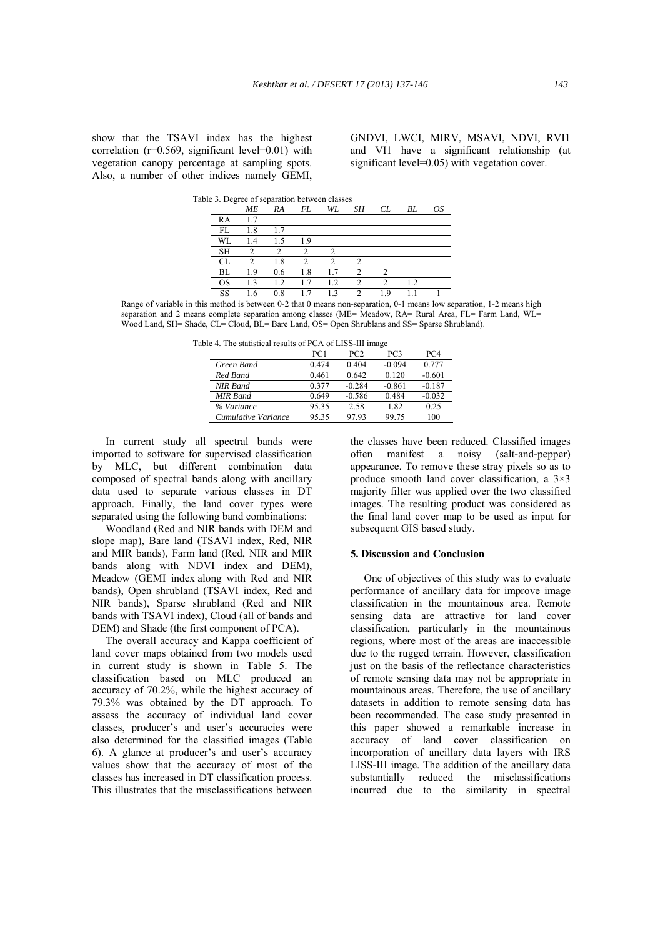show that the TSAVI index has the highest correlation ( $r=0.569$ , significant level= $0.01$ ) with vegetation canopy percentage at sampling spots. Also, a number of other indices namely GEMI, GNDVI, LWCI, MIRV, MSAVI, NDVI, RVI1 and VI1 have a significant relationship (at significant level=0.05) with vegetation cover.

|           | Table 3. Degree of separation between classes |     |     |     |    |    |     |    |
|-----------|-----------------------------------------------|-----|-----|-----|----|----|-----|----|
|           | <b>ME</b>                                     | RA  | FL  | WL  | SΗ | CL | BL  | ΟS |
| RA        | 1.7                                           |     |     |     |    |    |     |    |
| FL.       | 1.8                                           | 1.7 |     |     |    |    |     |    |
| WL        | 1.4                                           | 1.5 | 1.9 |     |    |    |     |    |
| <b>SH</b> |                                               |     |     |     |    |    |     |    |
|           |                                               | 1.8 | ∍   | ◠   |    |    |     |    |
| BL        | 1.9                                           | 0.6 | 1.8 | 1.7 | ∍  |    |     |    |
| OS        | 1.3                                           | 12  | 1.7 | 1.2 | ົ  | ∍  | 1.2 |    |
| SS        | l.6                                           | 0.8 | 1.7 | 1.3 | ◠  | 19 |     |    |

Range of variable in this method is between 0-2 that 0 means non-separation, 0-1 means low separation, 1-2 means high separation and 2 means complete separation among classes (ME= Meadow, RA= Rural Area, FL= Farm Land, WL= Wood Land, SH= Shade, CL= Cloud, BL= Bare Land, OS= Open Shrublans and SS= Sparse Shrubland).

Table 4. The statistical results of PCA of LISS-III image

|                     | PC1   | PC <sub>2</sub> | PC <sub>3</sub> | PC4      |
|---------------------|-------|-----------------|-----------------|----------|
| Green Band          | 0.474 | 0.404           | $-0.094$        | 0.777    |
| Red Band            | 0.461 | 0.642           | 0.120           | $-0.601$ |
| NIR Band            | 0.377 | $-0.284$        | $-0.861$        | $-0.187$ |
| <b>MIR</b> Band     | 0.649 | $-0.586$        | 0.484           | $-0.032$ |
| % Variance          | 95.35 | 2.58            | 1.82            | 0.25     |
| Cumulative Variance | 95.35 | 97.93           | 99.75           | 100      |

 In current study all spectral bands were imported to software for supervised classification by MLC, but different combination data composed of spectral bands along with ancillary data used to separate various classes in DT approach. Finally, the land cover types were separated using the following band combinations:

 Woodland (Red and NIR bands with DEM and slope map), Bare land (TSAVI index, Red, NIR and MIR bands), Farm land (Red, NIR and MIR bands along with NDVI index and DEM), Meadow (GEMI index along with Red and NIR bands), Open shrubland (TSAVI index, Red and NIR bands), Sparse shrubland (Red and NIR bands with TSAVI index), Cloud (all of bands and DEM) and Shade (the first component of PCA).

 The overall accuracy and Kappa coefficient of land cover maps obtained from two models used in current study is shown in Table 5. The classification based on MLC produced an accuracy of 70.2%, while the highest accuracy of 79.3% was obtained by the DT approach. To assess the accuracy of individual land cover classes, producer's and user's accuracies were also determined for the classified images (Table 6). A glance at producer's and user's accuracy values show that the accuracy of most of the classes has increased in DT classification process. This illustrates that the misclassifications between the classes have been reduced. Classified images often manifest a noisy (salt-and-pepper) appearance. To remove these stray pixels so as to produce smooth land cover classification, a 3×3 majority filter was applied over the two classified images. The resulting product was considered as the final land cover map to be used as input for subsequent GIS based study.

## **5. Discussion and Conclusion**

 One of objectives of this study was to evaluate performance of ancillary data for improve image classification in the mountainous area. Remote sensing data are attractive for land cover classification, particularly in the mountainous regions, where most of the areas are inaccessible due to the rugged terrain. However, classification just on the basis of the reflectance characteristics of remote sensing data may not be appropriate in mountainous areas. Therefore, the use of ancillary datasets in addition to remote sensing data has been recommended. The case study presented in this paper showed a remarkable increase in accuracy of land cover classification on incorporation of ancillary data layers with IRS LISS-III image. The addition of the ancillary data substantially reduced the misclassifications incurred due to the similarity in spectral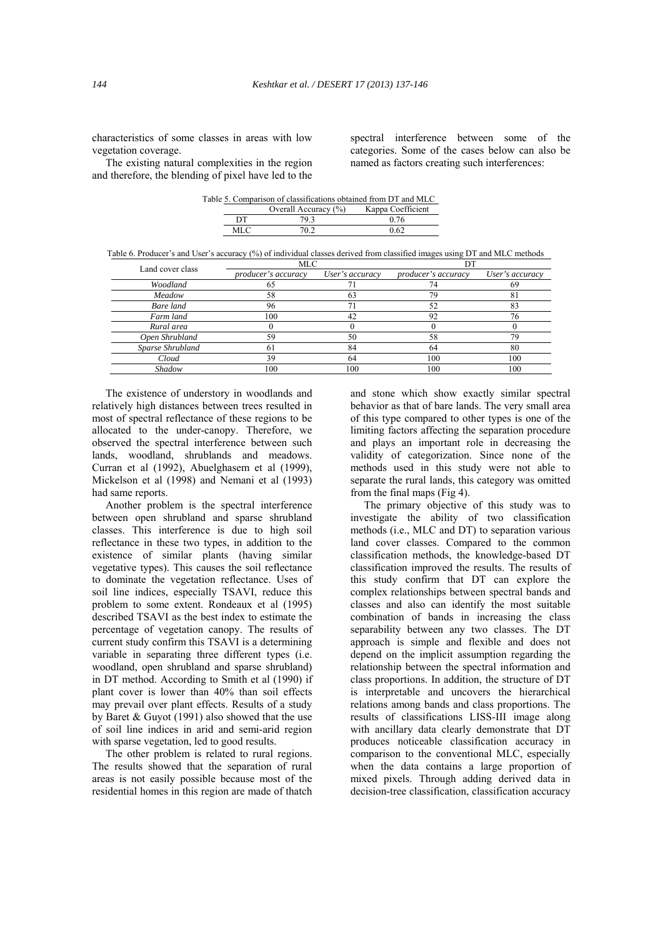characteristics of some classes in areas with low vegetation coverage.

 The existing natural complexities in the region and therefore, the blending of pixel have led to the spectral interference between some of the categories. Some of the cases below can also be named as factors creating such interferences:

| Table 5. Comparison of classifications obtained from DT and MLC |                         |                   |  |  |
|-----------------------------------------------------------------|-------------------------|-------------------|--|--|
|                                                                 | Overall Accuracy $(\%)$ | Kappa Coefficient |  |  |
| DТ                                                              | 79 3                    | 0.76              |  |  |
| MLC                                                             | 70.2                    | 0.62              |  |  |

Table 6. Producer's and User's accuracy (%) of individual classes derived from classified images using DT and MLC methods

| Land cover class | MLC                 |                 |                     |                 |  |
|------------------|---------------------|-----------------|---------------------|-----------------|--|
|                  | producer's accuracy | User's accuracy | producer's accuracy | User's accuracy |  |
| Woodland         |                     |                 | 74                  | 69              |  |
| Meadow           | 58                  | 63              | 79                  | 81              |  |
| Bare land        | 96                  |                 | 52                  | 83              |  |
| Farm land        | 100                 | 42              | 92                  | 76              |  |
| Rural area       |                     |                 |                     |                 |  |
| Open Shrubland   | 59                  | 50              | 58                  | 79              |  |
| Sparse Shrubland | -61                 | 84              | 64                  | 80              |  |
| Cloud            | 39                  | 64              | 100                 | 100             |  |
| Shadow           | 100                 | 100             | 100                 | 100             |  |
|                  |                     |                 |                     |                 |  |

 The existence of understory in woodlands and relatively high distances between trees resulted in most of spectral reflectance of these regions to be allocated to the under-canopy. Therefore, we observed the spectral interference between such lands, woodland, shrublands and meadows. Curran et al (1992), Abuelghasem et al (1999), Mickelson et al (1998) and Nemani et al (1993) had same reports.

 Another problem is the spectral interference between open shrubland and sparse shrubland classes. This interference is due to high soil reflectance in these two types, in addition to the existence of similar plants (having similar vegetative types). This causes the soil reflectance to dominate the vegetation reflectance. Uses of soil line indices, especially TSAVI, reduce this problem to some extent. Rondeaux et al (1995) described TSAVI as the best index to estimate the percentage of vegetation canopy. The results of current study confirm this TSAVI is a determining variable in separating three different types (i.e. woodland, open shrubland and sparse shrubland) in DT method. According to Smith et al (1990) if plant cover is lower than 40% than soil effects may prevail over plant effects. Results of a study by Baret & Guyot (1991) also showed that the use of soil line indices in arid and semi-arid region with sparse vegetation, led to good results.

 The other problem is related to rural regions. The results showed that the separation of rural areas is not easily possible because most of the residential homes in this region are made of thatch and stone which show exactly similar spectral behavior as that of bare lands. The very small area of this type compared to other types is one of the limiting factors affecting the separation procedure and plays an important role in decreasing the validity of categorization. Since none of the methods used in this study were not able to separate the rural lands, this category was omitted from the final maps (Fig 4).

 The primary objective of this study was to investigate the ability of two classification methods (i.e., MLC and DT) to separation various land cover classes. Compared to the common classification methods, the knowledge-based DT classification improved the results. The results of this study confirm that DT can explore the complex relationships between spectral bands and classes and also can identify the most suitable combination of bands in increasing the class separability between any two classes. The DT approach is simple and flexible and does not depend on the implicit assumption regarding the relationship between the spectral information and class proportions. In addition, the structure of DT is interpretable and uncovers the hierarchical relations among bands and class proportions. The results of classifications LISS-III image along with ancillary data clearly demonstrate that DT produces noticeable classification accuracy in comparison to the conventional MLC, especially when the data contains a large proportion of mixed pixels. Through adding derived data in decision-tree classification, classification accuracy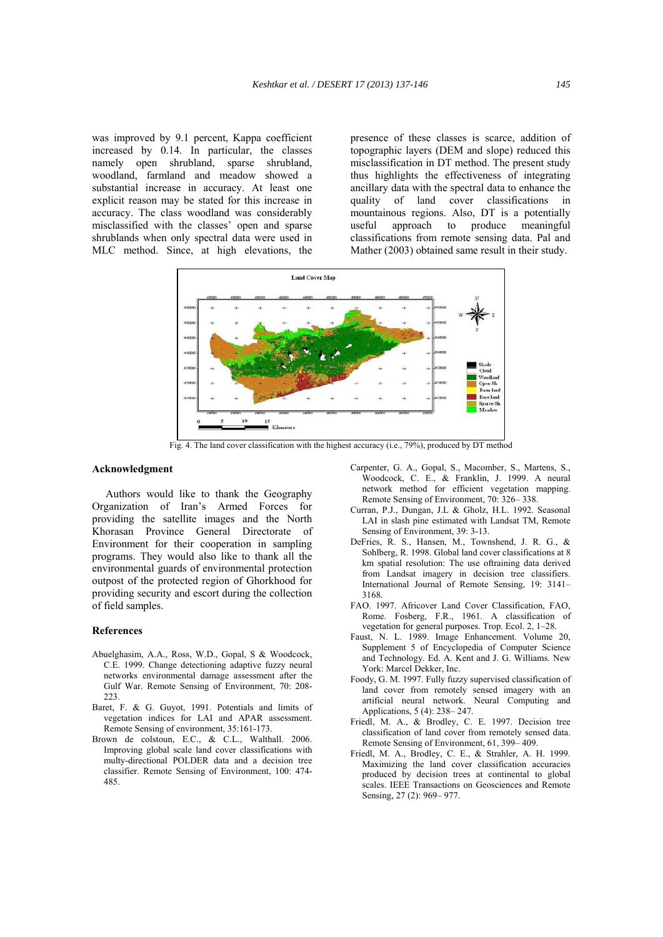was improved by 9.1 percent, Kappa coefficient increased by 0.14. In particular, the classes namely open shrubland, sparse shrubland, woodland, farmland and meadow showed a substantial increase in accuracy. At least one explicit reason may be stated for this increase in accuracy. The class woodland was considerably misclassified with the classes' open and sparse shrublands when only spectral data were used in MLC method. Since, at high elevations, the

presence of these classes is scarce, addition of topographic layers (DEM and slope) reduced this misclassification in DT method. The present study thus highlights the effectiveness of integrating ancillary data with the spectral data to enhance the quality of land cover classifications in mountainous regions. Also, DT is a potentially useful approach to produce meaningful classifications from remote sensing data. Pal and Mather (2003) obtained same result in their study.



Fig. 4. The land cover classification with the highest accuracy (i.e., 79%), produced by DT method

## **Acknowledgment**

 Authors would like to thank the Geography Organization of Iran's Armed Forces for providing the satellite images and the North Khorasan Province General Directorate of Environment for their cooperation in sampling programs. They would also like to thank all the environmental guards of environmental protection outpost of the protected region of Ghorkhood for providing security and escort during the collection of field samples.

#### **References**

- Abuelghasim, A.A., Ross, W.D., Gopal, S & Woodcock, C.E. 1999. Change detectioning adaptive fuzzy neural networks environmental damage assessment after the Gulf War. Remote Sensing of Environment, 70: 208-  $223$
- Baret, F. & G. Guyot, 1991. Potentials and limits of vegetation indices for LAI and APAR assessment. Remote Sensing of environment, 35:161-173.
- Brown de colstoun, E.C., & C.L., Walthall. 2006. Improving global scale land cover classifications with multy-directional POLDER data and a decision tree classifier. Remote Sensing of Environment, 100: 474- 485.
- Carpenter, G. A., Gopal, S., Macomber, S., Martens, S., Woodcock, C. E., & Franklin, J. 1999. A neural network method for efficient vegetation mapping. Remote Sensing of Environment, 70: 326– 338.
- Curran, P.J., Dungan, J.L & Gholz, H.L. 1992. Seasonal LAI in slash pine estimated with Landsat TM, Remote Sensing of Environment, 39: 3-13.
- DeFries, R. S., Hansen, M., Townshend, J. R. G., & Sohlberg, R. 1998. Global land cover classifications at 8 km spatial resolution: The use oftraining data derived from Landsat imagery in decision tree classifiers. International Journal of Remote Sensing, 19: 3141– 3168.
- FAO. 1997. Africover Land Cover Classification, FAO, Rome. Fosberg, F.R., 1961. A classification of vegetation for general purposes. Trop. Ecol. 2, 1–28.
- Faust, N. L. 1989. Image Enhancement. Volume 20, Supplement 5 of Encyclopedia of Computer Science and Technology. Ed. A. Kent and J. G. Williams. New York: Marcel Dekker, Inc.
- Foody, G. M. 1997. Fully fuzzy supervised classification of land cover from remotely sensed imagery with an artificial neural network. Neural Computing and Applications, 5 (4): 238– 247.
- Friedl, M. A., & Brodley, C. E. 1997. Decision tree classification of land cover from remotely sensed data. Remote Sensing of Environment, 61, 399– 409.
- Friedl, M. A., Brodley, C. E., & Strahler, A. H. 1999. Maximizing the land cover classification accuracies produced by decision trees at continental to global scales. IEEE Transactions on Geosciences and Remote Sensing, 27 (2): 969–977.